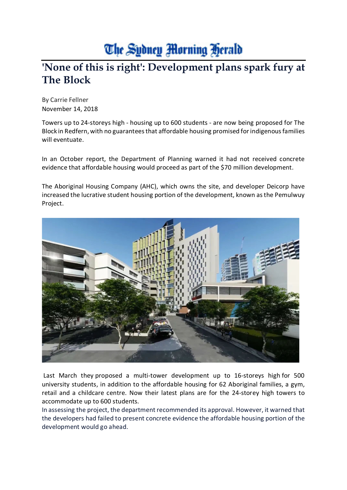## The Sydney Morning Herald

## **'None of this is right': Development plans spark fury at The Block**

By Carrie Fellner November 14, 2018

Towers up to 24-storeys high - housing up to 600 students - are now being proposed for The Block in Redfern, with no guarantees that affordable housing promised for indigenous families will eventuate.

In an October report, the Department of Planning warned it had not received concrete evidence that affordable housing would proceed as part of the \$70 million development.

The Aboriginal Housing Company (AHC), which owns the site, and developer Deicorp have increased the lucrative student housing portion of the development, known as the Pemulwuy Project.



Last March they proposed a multi-tower development up to 16-storeys high for 500 university students, in addition to the affordable housing for 62 Aboriginal families, a gym, retail and a childcare centre. Now their latest plans are for the 24-storey high towers to accommodate up to 600 students.

In assessing the project, the department recommended its approval. However, it warned that the developers had failed to present concrete evidence the affordable housing portion of the development would go ahead.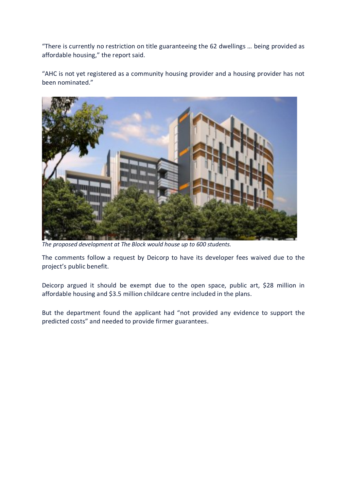"There is currently no restriction on title guaranteeing the 62 dwellings … being provided as affordable housing," the report said.

"AHC is not yet registered as a community housing provider and a housing provider has not been nominated.["](javascript:void(0);)



*The proposed development at The Block would house up to 600 students.*

The comments follow a request by Deicorp to have its developer fees waived due to the project's public benefit.

Deicorp argued it should be exempt due to the open space, public art, \$28 million in affordable housing and \$3.5 million childcare centre included in the plans.

But the department found the applicant had "not provided any evidence to support the predicted costs" and needed to provide firmer guarantees.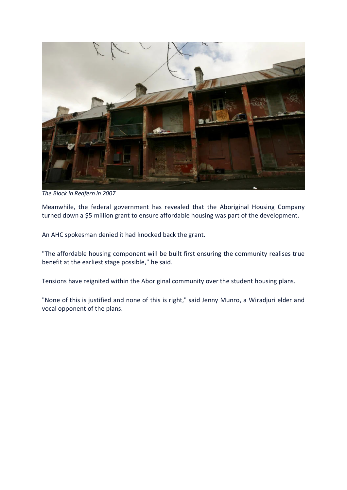

*The Block in Redfern in 2007*

Meanwhile, the federal government has revealed that the Aboriginal Housing Company turned down a \$5 million grant to ensure affordable housing was part of the development.

An AHC spokesman denied it had knocked back the grant.

"The affordable housing component will be built first ensuring the community realises true benefit at the earliest stage possible," he said.

Tensions have reignited within the Aboriginal community over the student housing plans.

"None of this is justified and none of this is right," said Jenny Munro, a Wiradjuri elder and vocal opponent of the plans.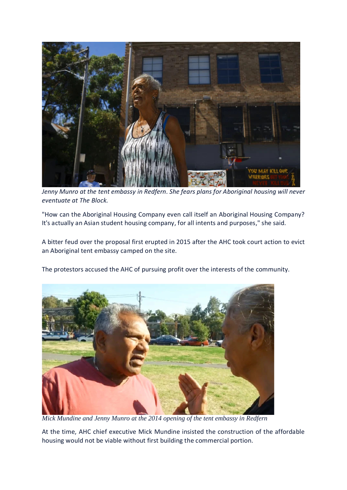

*Jenny Munro at the tent embassy in Redfern. She fears plans for Aboriginal housing will never eventuate at The Block.*

"How can the Aboriginal Housing Company even call itself an Aboriginal Housing Company? It's actually an Asian student housing company, for all intents and purposes," she said.

A bitter feud over the proposal first erupted in 2015 after the AHC took court action to evict an Aboriginal tent embassy camped on the site.

The protestors accused the AHC of pursuing profit over the interests of the community.



*Mick Mundine and Jenny Munro at the 2014 opening of the tent embassy in Redfern*

At the time, AHC chief executive Mick Mundine insisted the construction of the affordable housing would not be viable without first building the commercial portion.